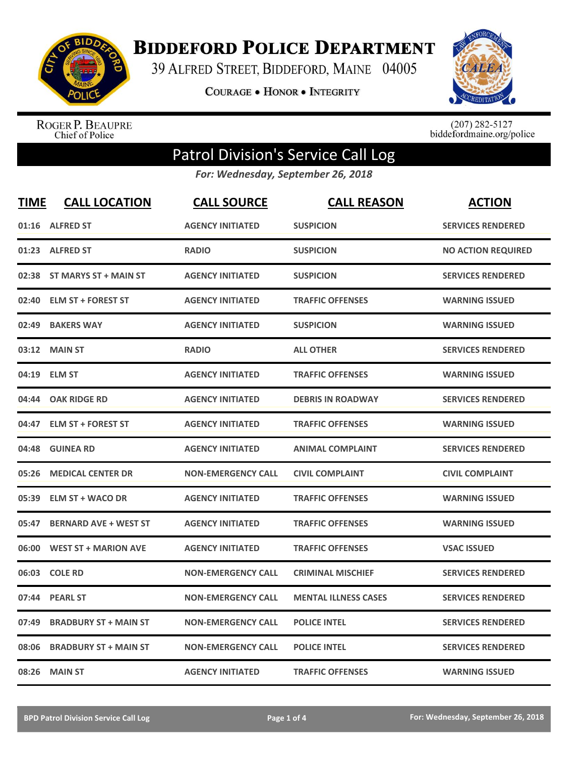

**BIDDEFORD POLICE DEPARTMENT** 

39 ALFRED STREET, BIDDEFORD, MAINE 04005

**COURAGE . HONOR . INTEGRITY** 



ROGER P. BEAUPRE<br>Chief of Police

 $(207)$  282-5127<br>biddefordmaine.org/police

## Patrol Division's Service Call Log

*For: Wednesday, September 26, 2018*

| <b>TIME</b> | <b>CALL LOCATION</b>         | <b>CALL SOURCE</b>        | <b>CALL REASON</b>          | <b>ACTION</b>             |
|-------------|------------------------------|---------------------------|-----------------------------|---------------------------|
|             | 01:16 ALFRED ST              | <b>AGENCY INITIATED</b>   | <b>SUSPICION</b>            | <b>SERVICES RENDERED</b>  |
| 01:23       | <b>ALFRED ST</b>             | <b>RADIO</b>              | <b>SUSPICION</b>            | <b>NO ACTION REQUIRED</b> |
| 02:38       | ST MARYS ST + MAIN ST        | <b>AGENCY INITIATED</b>   | <b>SUSPICION</b>            | <b>SERVICES RENDERED</b>  |
| 02:40       | <b>ELM ST + FOREST ST</b>    | <b>AGENCY INITIATED</b>   | <b>TRAFFIC OFFENSES</b>     | <b>WARNING ISSUED</b>     |
| 02:49       | <b>BAKERS WAY</b>            | <b>AGENCY INITIATED</b>   | <b>SUSPICION</b>            | <b>WARNING ISSUED</b>     |
| 03:12       | <b>MAIN ST</b>               | <b>RADIO</b>              | <b>ALL OTHER</b>            | <b>SERVICES RENDERED</b>  |
| 04:19       | <b>ELM ST</b>                | <b>AGENCY INITIATED</b>   | <b>TRAFFIC OFFENSES</b>     | <b>WARNING ISSUED</b>     |
| 04:44       | <b>OAK RIDGE RD</b>          | <b>AGENCY INITIATED</b>   | <b>DEBRIS IN ROADWAY</b>    | <b>SERVICES RENDERED</b>  |
| 04:47       | <b>ELM ST + FOREST ST</b>    | <b>AGENCY INITIATED</b>   | <b>TRAFFIC OFFENSES</b>     | <b>WARNING ISSUED</b>     |
| 04:48       | <b>GUINEA RD</b>             | <b>AGENCY INITIATED</b>   | <b>ANIMAL COMPLAINT</b>     | <b>SERVICES RENDERED</b>  |
| 05:26       | <b>MEDICAL CENTER DR</b>     | <b>NON-EMERGENCY CALL</b> | <b>CIVIL COMPLAINT</b>      | <b>CIVIL COMPLAINT</b>    |
| 05:39       | <b>ELM ST + WACO DR</b>      | <b>AGENCY INITIATED</b>   | <b>TRAFFIC OFFENSES</b>     | <b>WARNING ISSUED</b>     |
| 05:47       | <b>BERNARD AVE + WEST ST</b> | <b>AGENCY INITIATED</b>   | <b>TRAFFIC OFFENSES</b>     | <b>WARNING ISSUED</b>     |
| 06:00       | <b>WEST ST + MARION AVE</b>  | <b>AGENCY INITIATED</b>   | <b>TRAFFIC OFFENSES</b>     | <b>VSAC ISSUED</b>        |
| 06:03       | <b>COLE RD</b>               | <b>NON-EMERGENCY CALL</b> | <b>CRIMINAL MISCHIEF</b>    | <b>SERVICES RENDERED</b>  |
| 07:44       | <b>PEARL ST</b>              | <b>NON-EMERGENCY CALL</b> | <b>MENTAL ILLNESS CASES</b> | <b>SERVICES RENDERED</b>  |
| 07:49       | <b>BRADBURY ST + MAIN ST</b> | <b>NON-EMERGENCY CALL</b> | <b>POLICE INTEL</b>         | <b>SERVICES RENDERED</b>  |
| 08:06       | <b>BRADBURY ST + MAIN ST</b> | <b>NON-EMERGENCY CALL</b> | <b>POLICE INTEL</b>         | <b>SERVICES RENDERED</b>  |
| 08:26       | <b>MAIN ST</b>               | <b>AGENCY INITIATED</b>   | <b>TRAFFIC OFFENSES</b>     | <b>WARNING ISSUED</b>     |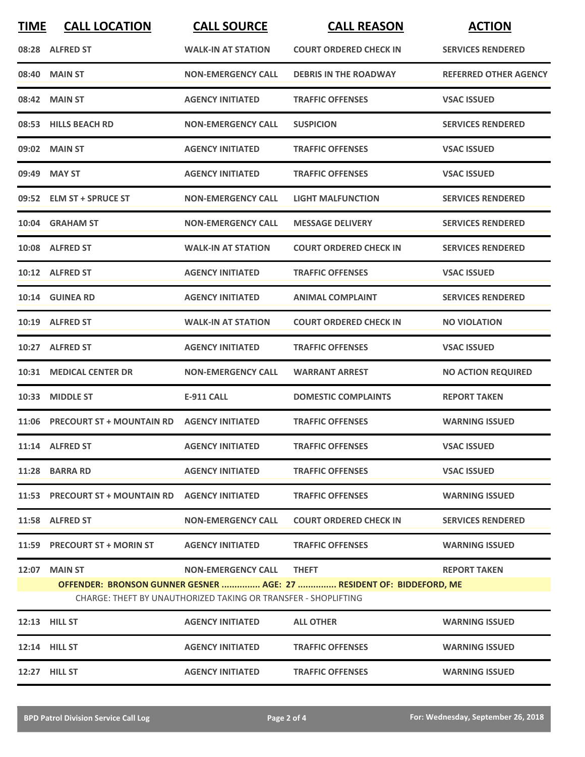| <b>TIME</b> | <b>CALL LOCATION</b>                                                                                                                                                                                                 | <b>CALL SOURCE</b>        | <b>CALL REASON</b>            | <b>ACTION</b>                |  |  |
|-------------|----------------------------------------------------------------------------------------------------------------------------------------------------------------------------------------------------------------------|---------------------------|-------------------------------|------------------------------|--|--|
|             | 08:28 ALFRED ST                                                                                                                                                                                                      | <b>WALK-IN AT STATION</b> | <b>COURT ORDERED CHECK IN</b> | <b>SERVICES RENDERED</b>     |  |  |
|             | 08:40 MAIN ST                                                                                                                                                                                                        | <b>NON-EMERGENCY CALL</b> | <b>DEBRIS IN THE ROADWAY</b>  | <b>REFERRED OTHER AGENCY</b> |  |  |
|             | 08:42 MAIN ST                                                                                                                                                                                                        | <b>AGENCY INITIATED</b>   | <b>TRAFFIC OFFENSES</b>       | <b>VSAC ISSUED</b>           |  |  |
|             | 08:53 HILLS BEACH RD                                                                                                                                                                                                 | <b>NON-EMERGENCY CALL</b> | <b>SUSPICION</b>              | <b>SERVICES RENDERED</b>     |  |  |
|             | 09:02 MAIN ST                                                                                                                                                                                                        | <b>AGENCY INITIATED</b>   | <b>TRAFFIC OFFENSES</b>       | <b>VSAC ISSUED</b>           |  |  |
|             | 09:49 MAY ST                                                                                                                                                                                                         | <b>AGENCY INITIATED</b>   | <b>TRAFFIC OFFENSES</b>       | <b>VSAC ISSUED</b>           |  |  |
|             | 09:52 ELM ST + SPRUCE ST                                                                                                                                                                                             | <b>NON-EMERGENCY CALL</b> | <b>LIGHT MALFUNCTION</b>      | <b>SERVICES RENDERED</b>     |  |  |
|             | 10:04 GRAHAM ST                                                                                                                                                                                                      | <b>NON-EMERGENCY CALL</b> | <b>MESSAGE DELIVERY</b>       | <b>SERVICES RENDERED</b>     |  |  |
|             | 10:08 ALFRED ST                                                                                                                                                                                                      | <b>WALK-IN AT STATION</b> | <b>COURT ORDERED CHECK IN</b> | <b>SERVICES RENDERED</b>     |  |  |
|             | 10:12 ALFRED ST                                                                                                                                                                                                      | <b>AGENCY INITIATED</b>   | <b>TRAFFIC OFFENSES</b>       | <b>VSAC ISSUED</b>           |  |  |
|             | 10:14 GUINEA RD                                                                                                                                                                                                      | <b>AGENCY INITIATED</b>   | <b>ANIMAL COMPLAINT</b>       | <b>SERVICES RENDERED</b>     |  |  |
|             | 10:19 ALFRED ST                                                                                                                                                                                                      | <b>WALK-IN AT STATION</b> | <b>COURT ORDERED CHECK IN</b> | <b>NO VIOLATION</b>          |  |  |
|             | 10:27 ALFRED ST                                                                                                                                                                                                      | <b>AGENCY INITIATED</b>   | <b>TRAFFIC OFFENSES</b>       | <b>VSAC ISSUED</b>           |  |  |
| 10:31       | <b>MEDICAL CENTER DR</b>                                                                                                                                                                                             | <b>NON-EMERGENCY CALL</b> | <b>WARRANT ARREST</b>         | <b>NO ACTION REQUIRED</b>    |  |  |
| 10:33       | <b>MIDDLE ST</b>                                                                                                                                                                                                     | <b>E-911 CALL</b>         | <b>DOMESTIC COMPLAINTS</b>    | <b>REPORT TAKEN</b>          |  |  |
|             | 11:06 PRECOURT ST + MOUNTAIN RD AGENCY INITIATED                                                                                                                                                                     |                           | <b>TRAFFIC OFFENSES</b>       | <b>WARNING ISSUED</b>        |  |  |
|             | 11:14 ALFRED ST                                                                                                                                                                                                      | <b>AGENCY INITIATED</b>   | <b>TRAFFIC OFFENSES</b>       | <b>VSAC ISSUED</b>           |  |  |
|             | 11:28 BARRA RD                                                                                                                                                                                                       | <b>AGENCY INITIATED</b>   | <b>TRAFFIC OFFENSES</b>       | <b>VSAC ISSUED</b>           |  |  |
|             | 11:53 PRECOURT ST + MOUNTAIN RD AGENCY INITIATED                                                                                                                                                                     |                           | <b>TRAFFIC OFFENSES</b>       | <b>WARNING ISSUED</b>        |  |  |
|             | 11:58 ALFRED ST                                                                                                                                                                                                      | <b>NON-EMERGENCY CALL</b> | <b>COURT ORDERED CHECK IN</b> | <b>SERVICES RENDERED</b>     |  |  |
|             | 11:59 PRECOURT ST + MORIN ST                                                                                                                                                                                         | <b>AGENCY INITIATED</b>   | <b>TRAFFIC OFFENSES</b>       | <b>WARNING ISSUED</b>        |  |  |
|             | 12:07 MAIN ST<br>NON-EMERGENCY CALL<br><b>THEFT</b><br><b>REPORT TAKEN</b><br>OFFENDER: BRONSON GUNNER GESNER  AGE: 27  RESIDENT OF: BIDDEFORD, ME<br>CHARGE: THEFT BY UNAUTHORIZED TAKING OR TRANSFER - SHOPLIFTING |                           |                               |                              |  |  |
|             | 12:13 HILL ST                                                                                                                                                                                                        | <b>AGENCY INITIATED</b>   | <b>ALL OTHER</b>              | <b>WARNING ISSUED</b>        |  |  |
|             | 12:14 HILL ST                                                                                                                                                                                                        | <b>AGENCY INITIATED</b>   | <b>TRAFFIC OFFENSES</b>       | <b>WARNING ISSUED</b>        |  |  |
|             | <b>12:27 HILL ST</b>                                                                                                                                                                                                 | <b>AGENCY INITIATED</b>   | <b>TRAFFIC OFFENSES</b>       | <b>WARNING ISSUED</b>        |  |  |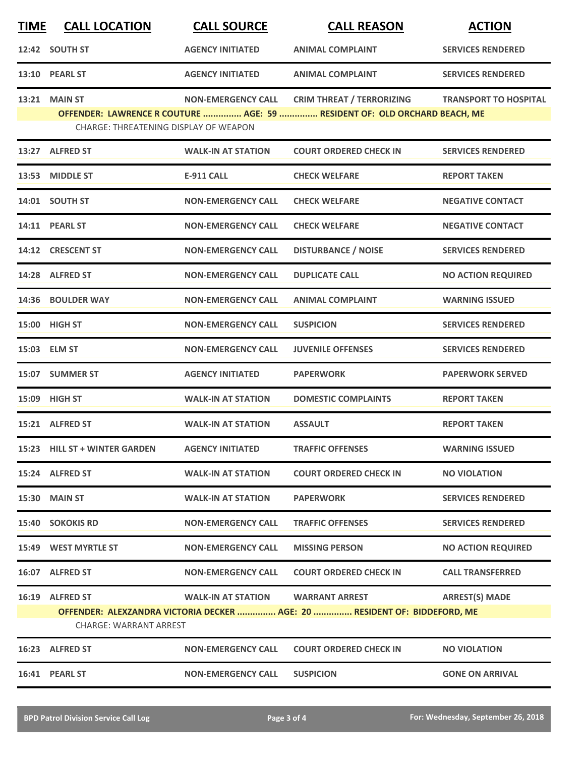| <u>TIME</u> | <b>CALL LOCATION</b>                                          | <b>CALL SOURCE</b>        | <b>CALL REASON</b>                                                                                            | <b>ACTION</b>                |
|-------------|---------------------------------------------------------------|---------------------------|---------------------------------------------------------------------------------------------------------------|------------------------------|
|             | 12:42 SOUTH ST                                                | <b>AGENCY INITIATED</b>   | <b>ANIMAL COMPLAINT</b>                                                                                       | <b>SERVICES RENDERED</b>     |
|             | 13:10 PEARL ST                                                | <b>AGENCY INITIATED</b>   | <b>ANIMAL COMPLAINT</b>                                                                                       | <b>SERVICES RENDERED</b>     |
|             | <b>13:21 MAIN ST</b><br>CHARGE: THREATENING DISPLAY OF WEAPON | <b>NON-EMERGENCY CALL</b> | <b>CRIM THREAT / TERRORIZING</b><br>OFFENDER: LAWRENCE R COUTURE  AGE: 59  RESIDENT OF: OLD ORCHARD BEACH, ME | <b>TRANSPORT TO HOSPITAL</b> |
|             | 13:27 ALFRED ST                                               | <b>WALK-IN AT STATION</b> | <b>COURT ORDERED CHECK IN</b>                                                                                 | <b>SERVICES RENDERED</b>     |
|             | 13:53 MIDDLE ST                                               | <b>E-911 CALL</b>         | <b>CHECK WELFARE</b>                                                                                          | <b>REPORT TAKEN</b>          |
|             | 14:01 SOUTH ST                                                | <b>NON-EMERGENCY CALL</b> | <b>CHECK WELFARE</b>                                                                                          | <b>NEGATIVE CONTACT</b>      |
|             | 14:11 PEARL ST                                                | <b>NON-EMERGENCY CALL</b> | <b>CHECK WELFARE</b>                                                                                          | <b>NEGATIVE CONTACT</b>      |
|             | 14:12 CRESCENT ST                                             | <b>NON-EMERGENCY CALL</b> | <b>DISTURBANCE / NOISE</b>                                                                                    | <b>SERVICES RENDERED</b>     |
|             | 14:28 ALFRED ST                                               | <b>NON-EMERGENCY CALL</b> | <b>DUPLICATE CALL</b>                                                                                         | <b>NO ACTION REQUIRED</b>    |
|             | 14:36 BOULDER WAY                                             | <b>NON-EMERGENCY CALL</b> | <b>ANIMAL COMPLAINT</b>                                                                                       | <b>WARNING ISSUED</b>        |
|             | 15:00 HIGH ST                                                 | <b>NON-EMERGENCY CALL</b> | <b>SUSPICION</b>                                                                                              | <b>SERVICES RENDERED</b>     |
|             | 15:03 ELM ST                                                  | <b>NON-EMERGENCY CALL</b> | <b>JUVENILE OFFENSES</b>                                                                                      | <b>SERVICES RENDERED</b>     |
|             | 15:07 SUMMER ST                                               | <b>AGENCY INITIATED</b>   | <b>PAPERWORK</b>                                                                                              | <b>PAPERWORK SERVED</b>      |
|             | 15:09 HIGH ST                                                 | <b>WALK-IN AT STATION</b> | <b>DOMESTIC COMPLAINTS</b>                                                                                    | <b>REPORT TAKEN</b>          |
|             | 15:21 ALFRED ST                                               | <b>WALK-IN AT STATION</b> | <b>ASSAULT</b>                                                                                                | <b>REPORT TAKEN</b>          |
|             | 15:23 HILL ST + WINTER GARDEN                                 | <b>AGENCY INITIATED</b>   | <b>TRAFFIC OFFENSES</b>                                                                                       | <b>WARNING ISSUED</b>        |
|             | 15:24 ALFRED ST                                               | <b>WALK-IN AT STATION</b> | <b>COURT ORDERED CHECK IN</b>                                                                                 | <b>NO VIOLATION</b>          |
|             | 15:30 MAIN ST                                                 | <b>WALK-IN AT STATION</b> | <b>PAPERWORK</b>                                                                                              | <b>SERVICES RENDERED</b>     |
|             | <b>15:40 SOKOKIS RD</b>                                       | <b>NON-EMERGENCY CALL</b> | <b>TRAFFIC OFFENSES</b>                                                                                       | <b>SERVICES RENDERED</b>     |
|             | 15:49 WEST MYRTLE ST                                          | <b>NON-EMERGENCY CALL</b> | <b>MISSING PERSON</b>                                                                                         | <b>NO ACTION REQUIRED</b>    |
|             | 16:07 ALFRED ST                                               | <b>NON-EMERGENCY CALL</b> | <b>COURT ORDERED CHECK IN</b>                                                                                 | <b>CALL TRANSFERRED</b>      |
|             | 16:19 ALFRED ST<br><b>CHARGE: WARRANT ARREST</b>              | <b>WALK-IN AT STATION</b> | <b>WARRANT ARREST</b><br>OFFENDER: ALEXZANDRA VICTORIA DECKER  AGE: 20  RESIDENT OF: BIDDEFORD, ME            | <b>ARREST(S) MADE</b>        |
|             | 16:23 ALFRED ST                                               | <b>NON-EMERGENCY CALL</b> | <b>COURT ORDERED CHECK IN</b>                                                                                 | <b>NO VIOLATION</b>          |
|             | 16:41 PEARL ST                                                | <b>NON-EMERGENCY CALL</b> | <b>SUSPICION</b>                                                                                              | <b>GONE ON ARRIVAL</b>       |